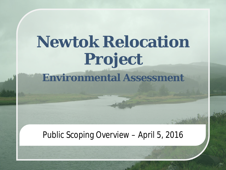# **Newtok Relocation Project**

Environmental Assessment

### **Environmental Assessment**

#### Public Scoping Overview – April 5, 2016

STORY WARD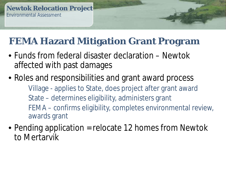### **FEMA Hazard Mitigation Grant Program**

- Funds from federal disaster declaration Newtok affected with past damages
- Roles and responsibilities and grant award process
	- Ê Village applies to State, does project after grant award
	- Ê State determines eligibility, administers grant
	- Ê FEMA confirms eligibility, completes environmental review, awards grant
- Pending application = relocate 12 homes from Newtok to Mertarvik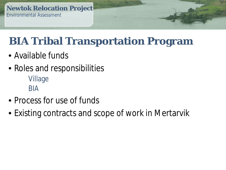# **BIA Tribal Transportation Program**

- Available funds
- Roles and responsibilities
	- Ê Village
	- Ê BIA
- Process for use of funds
- Existing contracts and scope of work in Mertarvik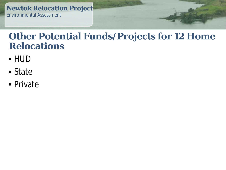#### **Other Potential Funds/Projects for 12 Home Relocations**

- HUD
- State
- Private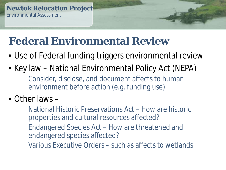# **Federal Environmental Review**

- Use of Federal funding triggers environmental review
- Key law National Environmental Policy Act (NEPA) É Consider, disclose, and document affects to human environment before action (e.g. funding use)
- $\bullet$  Other laws  $-$ 
	- $\hat{\mathsf{E}}$  National Historic Preservations Act How are historic properties and cultural resources affected?
	- Ê Endangered Species Act How are threatened and endangered species affected?
	- $\hat{\mathsf{E}}$  Various Executive Orders such as affects to wetlands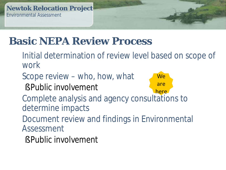# **Basic NEPA Review Process**

- È Initial determination of review level based on scope of work
- $E$  Scope review who, how, what
	- S Public involvement



- E Complete analysis and agency consultations to determine impacts
- Ê Document review and findings in Environmental Assessment
	- **§ Public involvement**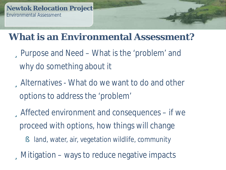#### **What is an Environmental Assessment?**

- üPurpose and Need What is the 'problem' and why do something about it
- üAlternatives What do we want to do and other options to address the 'problem'
- üAffected environment and consequences if we proceed with options, how things will change
	- land, water, air, vegetation wildlife, community

üMitigation – ways to reduce negative impacts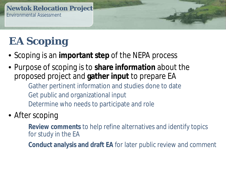# **EA Scoping**

- Scoping is an **important step** of the NEPA process
- Purpose of scoping is to **share information** about the proposed project and **gather input** to prepare EA
	- Ê Gather pertinent information and studies done to date
	- Ê Get public and organizational input
	- Ê Determine who needs to participate and role

#### • After scoping

- Ê **Review comments** to help refine alternatives and identify topics for study in the EA
- Ê **Conduct analysis and draft EA** for later public review and comment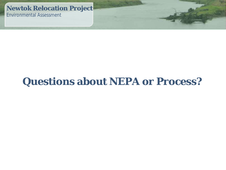### **Questions about NEPA or Process?**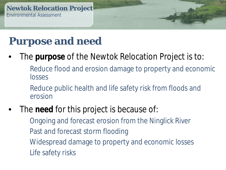## **Purpose and need**

- The **purpose** of the Newtok Relocation Project is to:
	- Ê Reduce flood and erosion damage to property and economic losses
	- Ê Reduce public health and life safety risk from floods and erosion
- The **need** for this project is because of:
	- Ê Ongoing and forecast erosion from the Ninglick River
	- Ê Past and forecast storm flooding
	- Ê Widespread damage to property and economic losses
	- Ê Life safety risks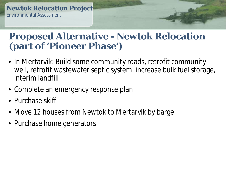#### **Proposed Alternative - Newtok Relocation (part of 'Pioneer Phase')**

- In Mertarvik: Build some community roads, retrofit community well, retrofit wastewater septic system, increase bulk fuel storage, interim landfill
- Complete an emergency response plan
- Purchase skiff
- Move 12 houses from Newtok to Mertarvik by barge
- Purchase home generators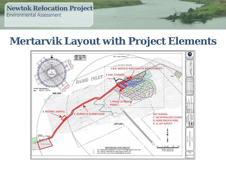#### **Mertarvik Layout with Project Elements**

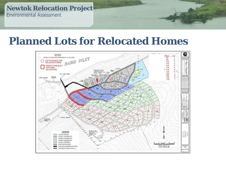#### **Planned Lots for Relocated Homes**

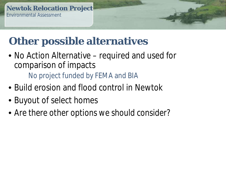# **Other possible alternatives**

- No Action Alternative required and used for comparison of impacts Ê No project funded by FEMA and BIA
- Build erosion and flood control in Newtok
- Buyout of select homes
- *Are there other options we should consider?*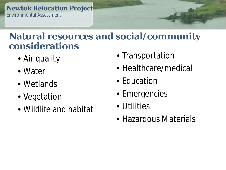#### **Natural resources and social/community considerations**

- Air quality
- Water
- Wetlands
- Vegetation
- Wildlife and habitat
- Transportation
- Healthcare/medical
- Education
- Emergencies
- Utilities
- Hazardous Materials